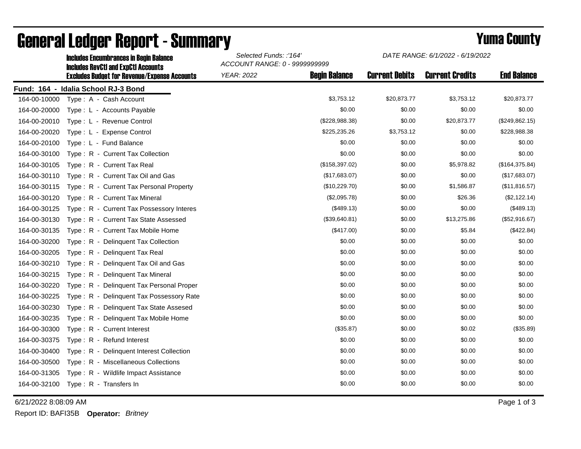|              | <b>Includes Encumbrances in Begin Balance</b><br><b>Includes RevCtI and ExpCtI Accounts</b> | Selected Funds: :'164'<br>ACCOUNT RANGE: 0 - 9999999999 |                      | DATE RANGE: 6/1/2022 - 6/19/2022 |                        |                    |
|--------------|---------------------------------------------------------------------------------------------|---------------------------------------------------------|----------------------|----------------------------------|------------------------|--------------------|
|              | <b>Excludes Budget for Revenue/Expense Accounts</b>                                         | <b>YEAR: 2022</b>                                       | <b>Begin Balance</b> | <b>Current Debits</b>            | <b>Current Credits</b> | <b>End Balance</b> |
|              | Fund: 164 - Idalia School RJ-3 Bond                                                         |                                                         |                      |                                  |                        |                    |
| 164-00-10000 | Type: A - Cash Account                                                                      |                                                         | \$3,753.12           | \$20,873.77                      | \$3,753.12             | \$20,873.77        |
| 164-00-20000 | Type: L - Accounts Payable                                                                  |                                                         | \$0.00               | \$0.00                           | \$0.00                 | \$0.00             |
| 164-00-20010 | Type: L - Revenue Control                                                                   |                                                         | (\$228,988.38)       | \$0.00                           | \$20,873.77            | (\$249,862.15)     |
| 164-00-20020 | Type: L - Expense Control                                                                   |                                                         | \$225,235.26         | \$3,753.12                       | \$0.00                 | \$228,988.38       |
| 164-00-20100 | Type: L - Fund Balance                                                                      |                                                         | \$0.00               | \$0.00                           | \$0.00                 | \$0.00             |
| 164-00-30100 | Type: R - Current Tax Collection                                                            |                                                         | \$0.00               | \$0.00                           | \$0.00                 | \$0.00             |
| 164-00-30105 | Type: R - Current Tax Real                                                                  |                                                         | (\$158,397.02)       | \$0.00                           | \$5,978.82             | (\$164, 375.84)    |
| 164-00-30110 | Type: R - Current Tax Oil and Gas                                                           |                                                         | (\$17,683.07)        | \$0.00                           | \$0.00                 | (\$17,683.07)      |
| 164-00-30115 | Type: R - Current Tax Personal Property                                                     |                                                         | (\$10,229.70)        | \$0.00                           | \$1,586.87             | (\$11,816.57)      |
| 164-00-30120 | Type: R - Current Tax Mineral                                                               |                                                         | (\$2,095.78)         | \$0.00                           | \$26.36                | (\$2,122.14)       |
| 164-00-30125 | Type: R - Current Tax Possessory Interes                                                    |                                                         | (\$489.13)           | \$0.00                           | \$0.00                 | (\$489.13)         |
| 164-00-30130 | Type: R - Current Tax State Assessed                                                        |                                                         | (\$39,640.81)        | \$0.00                           | \$13,275.86            | (\$52,916.67)      |
| 164-00-30135 | Type: R - Current Tax Mobile Home                                                           |                                                         | (\$417.00)           | \$0.00                           | \$5.84                 | (\$422.84)         |
| 164-00-30200 | Type: R - Delinquent Tax Collection                                                         |                                                         | \$0.00               | \$0.00                           | \$0.00                 | \$0.00             |
| 164-00-30205 | Type: R - Delinquent Tax Real                                                               |                                                         | \$0.00               | \$0.00                           | \$0.00                 | \$0.00             |
| 164-00-30210 | Type: R - Delinquent Tax Oil and Gas                                                        |                                                         | \$0.00               | \$0.00                           | \$0.00                 | \$0.00             |
| 164-00-30215 | Type: R - Delinquent Tax Mineral                                                            |                                                         | \$0.00               | \$0.00                           | \$0.00                 | \$0.00             |
| 164-00-30220 | Type: R - Delinquent Tax Personal Proper                                                    |                                                         | \$0.00               | \$0.00                           | \$0.00                 | \$0.00             |
| 164-00-30225 | Type: R - Delinquent Tax Possessory Rate                                                    |                                                         | \$0.00               | \$0.00                           | \$0.00                 | \$0.00             |
| 164-00-30230 | Type: R - Delinquent Tax State Assesed                                                      |                                                         | \$0.00               | \$0.00                           | \$0.00                 | \$0.00             |
| 164-00-30235 | Type: R - Delinquent Tax Mobile Home                                                        |                                                         | \$0.00               | \$0.00                           | \$0.00                 | \$0.00             |
| 164-00-30300 | Type: R - Current Interest                                                                  |                                                         | (\$35.87)            | \$0.00                           | \$0.02                 | (\$35.89)          |
| 164-00-30375 | Type: R - Refund Interest                                                                   |                                                         | \$0.00               | \$0.00                           | \$0.00                 | \$0.00             |
| 164-00-30400 | Type: R - Delinquent Interest Collection                                                    |                                                         | \$0.00               | \$0.00                           | \$0.00                 | \$0.00             |
| 164-00-30500 | Type: R - Miscellaneous Collections                                                         |                                                         | \$0.00               | \$0.00                           | \$0.00                 | \$0.00             |
| 164-00-31305 | Type: R - Wildlife Impact Assistance                                                        |                                                         | \$0.00               | \$0.00                           | \$0.00                 | \$0.00             |
| 164-00-32100 | Type: R - Transfers In                                                                      |                                                         | \$0.00               | \$0.00                           | \$0.00                 | \$0.00             |

## General Ledger Report - Summary **Example 2018** Yuma County

6/21/2022 8:08:09 AM Page 1 of 3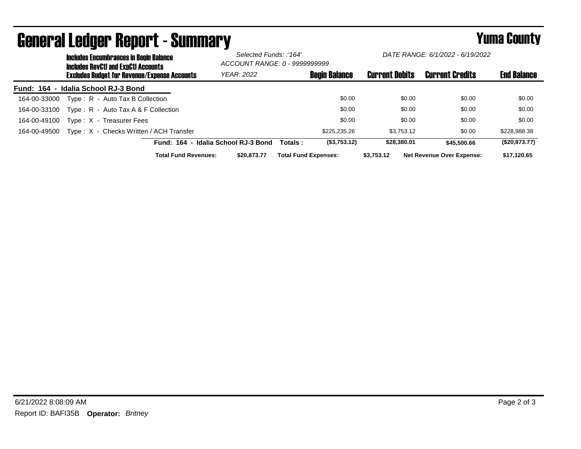|              | <b>Includes Encumbrances in Begin Balance</b><br><b>Includes RevCtI and ExpCtI Accounts</b><br><b>Excludes Budget for Revenue/Expense Accounts</b> |                             |                                     | Selected Funds: :'164'<br>ACCOUNT RANGE: 0 - 9999999999 |                             | DATE RANGE: 6/1/2022 - 6/19/2022 |            |                       |                                  |                    |
|--------------|----------------------------------------------------------------------------------------------------------------------------------------------------|-----------------------------|-------------------------------------|---------------------------------------------------------|-----------------------------|----------------------------------|------------|-----------------------|----------------------------------|--------------------|
|              |                                                                                                                                                    |                             |                                     | <b>YEAR: 2022</b>                                       |                             | <b>Begin Balance</b>             |            | <b>Current Debits</b> | <b>Current Credits</b>           | <b>End Balance</b> |
|              | Fund: 164 - Idalia School RJ-3 Bond                                                                                                                |                             |                                     |                                                         |                             |                                  |            |                       |                                  |                    |
| 164-00-33000 | Type: R - Auto Tax B Collection                                                                                                                    |                             |                                     |                                                         |                             | \$0.00                           |            | \$0.00                | \$0.00                           | \$0.00             |
| 164-00-33100 | Type: $R -$ Auto Tax A & F Collection                                                                                                              |                             |                                     |                                                         |                             | \$0.00                           |            | \$0.00                | \$0.00                           | \$0.00             |
| 164-00-49100 | Type: X - Treasurer Fees                                                                                                                           |                             |                                     |                                                         |                             | \$0.00                           |            | \$0.00                | \$0.00                           | \$0.00             |
| 164-00-49500 | Type: X - Checks Written / ACH Transfer                                                                                                            |                             |                                     |                                                         |                             | \$225,235,26                     |            | \$3.753.12            | \$0.00                           | \$228,988.38       |
|              |                                                                                                                                                    |                             | Fund: 164 - Idalia School RJ-3 Bond |                                                         | Totals :                    | (\$3,753.12)                     |            | \$28,380,01           | \$45,500.66                      | (\$20,873.77)      |
|              |                                                                                                                                                    | <b>Total Fund Revenues:</b> |                                     | \$20,873,77                                             | <b>Total Fund Expenses:</b> |                                  | \$3.753.12 |                       | <b>Net Revenue Over Expense:</b> | \$17.120.65        |

## General Ledger Report - Summary **Example 2018** Yuma County